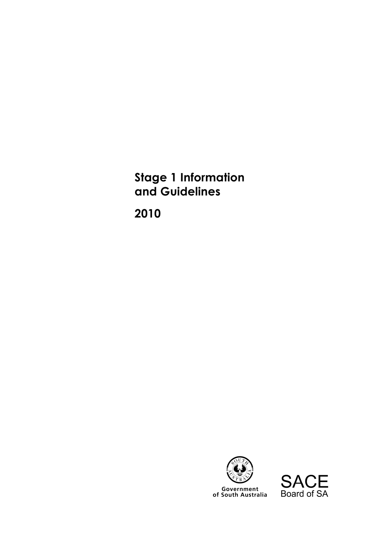**Stage 1 Information and Guidelines** 

**2010** 



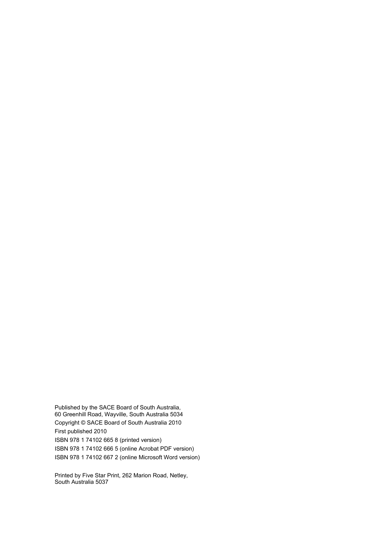Published by the SACE Board of South Australia, 60 Greenhill Road, Wayville, South Australia 5034 Copyright © SACE Board of South Australia 2010 First published 2010 ISBN 978 1 74102 665 8 (printed version) ISBN 978 1 74102 666 5 (online Acrobat PDF version) ISBN 978 1 74102 667 2 (online Microsoft Word version)

Printed by Five Star Print, 262 Marion Road, Netley, South Australia 5037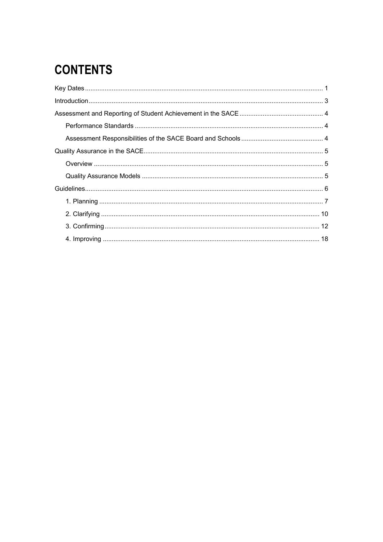# **CONTENTS**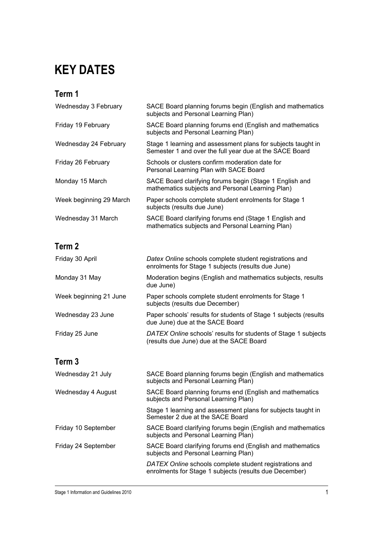# **KEY DATES**

## **Term 1**

| Wednesday 3 February    | SACE Board planning forums begin (English and mathematics<br>subjects and Personal Learning Plan)                       |
|-------------------------|-------------------------------------------------------------------------------------------------------------------------|
| Friday 19 February      | SACE Board planning forums end (English and mathematics<br>subjects and Personal Learning Plan)                         |
| Wednesday 24 February   | Stage 1 learning and assessment plans for subjects taught in<br>Semester 1 and over the full year due at the SACE Board |
| Friday 26 February      | Schools or clusters confirm moderation date for<br>Personal Learning Plan with SACE Board                               |
| Monday 15 March         | SACE Board clarifying forums begin (Stage 1 English and<br>mathematics subjects and Personal Learning Plan)             |
| Week beginning 29 March | Paper schools complete student enrolments for Stage 1<br>subjects (results due June)                                    |
| Wednesday 31 March      | SACE Board clarifying forums end (Stage 1 English and<br>mathematics subjects and Personal Learning Plan)               |

## **Term 2**

| Friday 30 April        | Datex Online schools complete student registrations and<br>enrolments for Stage 1 subjects (results due June) |
|------------------------|---------------------------------------------------------------------------------------------------------------|
| Monday 31 May          | Moderation begins (English and mathematics subjects, results<br>due June)                                     |
| Week beginning 21 June | Paper schools complete student enrolments for Stage 1<br>subjects (results due December)                      |
| Wednesday 23 June      | Paper schools' results for students of Stage 1 subjects (results<br>due June) due at the SACE Board           |
| Friday 25 June         | DATEX Online schools' results for students of Stage 1 subjects<br>(results due June) due at the SACE Board    |
|                        |                                                                                                               |

### **Term 3**

| Wednesday 21 July   | SACE Board planning forums begin (English and mathematics<br>subjects and Personal Learning Plan)                 |
|---------------------|-------------------------------------------------------------------------------------------------------------------|
| Wednesday 4 August  | SACE Board planning forums end (English and mathematics<br>subjects and Personal Learning Plan)                   |
|                     | Stage 1 learning and assessment plans for subjects taught in<br>Semester 2 due at the SACE Board                  |
| Friday 10 September | SACE Board clarifying forums begin (English and mathematics<br>subjects and Personal Learning Plan)               |
| Friday 24 September | SACE Board clarifying forums end (English and mathematics<br>subjects and Personal Learning Plan)                 |
|                     | DATEX Online schools complete student registrations and<br>enrolments for Stage 1 subjects (results due December) |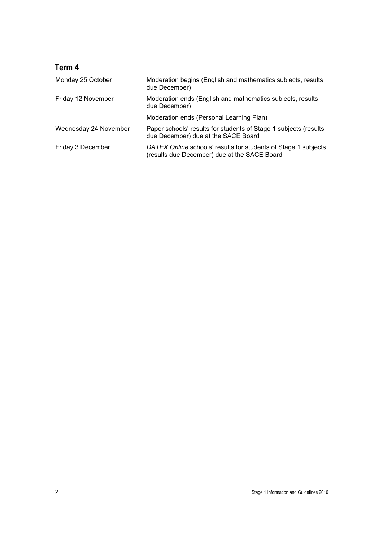## **Term 4**

| Monday 25 October     | Moderation begins (English and mathematics subjects, results<br>due December)                                  |  |
|-----------------------|----------------------------------------------------------------------------------------------------------------|--|
| Friday 12 November    | Moderation ends (English and mathematics subjects, results<br>due December)                                    |  |
|                       | Moderation ends (Personal Learning Plan)                                                                       |  |
| Wednesday 24 November | Paper schools' results for students of Stage 1 subjects (results<br>due December) due at the SACE Board        |  |
| Friday 3 December     | DATEX Online schools' results for students of Stage 1 subjects<br>(results due December) due at the SACE Board |  |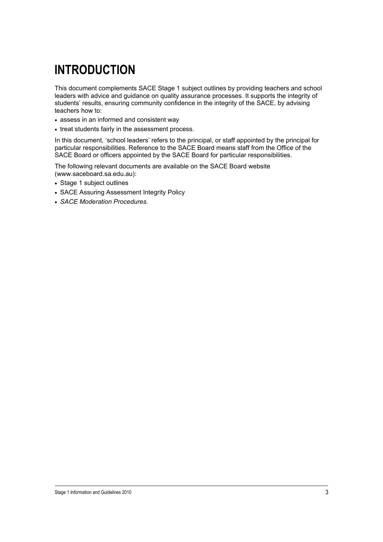# **INTRODUCTION**

This document complements SACE Stage 1 subject outlines by providing teachers and school leaders with advice and guidance on quality assurance processes. It supports the integrity of students' results, ensuring community confidence in the integrity of the SACE, by advising teachers how to:

- assess in an informed and consistent way
- treat students fairly in the assessment process.

In this document, 'school leaders' refers to the principal, or staff appointed by the principal for particular responsibilities. Reference to the SACE Board means staff from the Office of the SACE Board or officers appointed by the SACE Board for particular responsibilities.

The following relevant documents are available on the SACE Board website (www.saceboard.sa.edu.au):

- Stage 1 subject outlines
- SACE Assuring Assessment Integrity Policy
- *SACE Moderation Procedures.*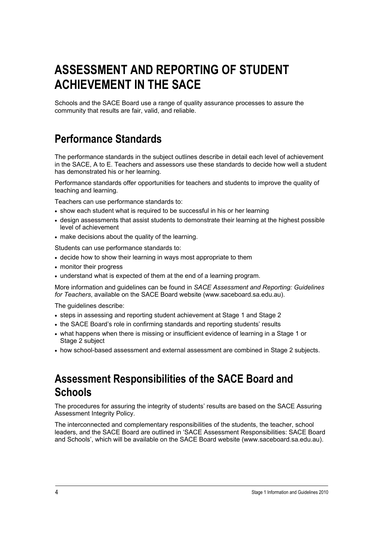# **ASSESSMENT AND REPORTING OF STUDENT ACHIEVEMENT IN THE SACE**

Schools and the SACE Board use a range of quality assurance processes to assure the community that results are fair, valid, and reliable.

## **Performance Standards**

The performance standards in the subject outlines describe in detail each level of achievement in the SACE, A to E. Teachers and assessors use these standards to decide how well a student has demonstrated his or her learning.

Performance standards offer opportunities for teachers and students to improve the quality of teaching and learning.

Teachers can use performance standards to:

- show each student what is required to be successful in his or her learning
- design assessments that assist students to demonstrate their learning at the highest possible level of achievement
- make decisions about the quality of the learning.

Students can use performance standards to:

- decide how to show their learning in ways most appropriate to them
- monitor their progress
- understand what is expected of them at the end of a learning program.

More information and guidelines can be found in *SACE Assessment and Reporting: Guidelines for Teachers*, available on the SACE Board website (www.saceboard.sa.edu.au).

The guidelines describe:

- steps in assessing and reporting student achievement at Stage 1 and Stage 2
- the SACE Board's role in confirming standards and reporting students' results
- what happens when there is missing or insufficient evidence of learning in a Stage 1 or Stage 2 subject
- how school-based assessment and external assessment are combined in Stage 2 subjects.

## **Assessment Responsibilities of the SACE Board and Schools**

The procedures for assuring the integrity of students' results are based on the SACE Assuring Assessment Integrity Policy.

The interconnected and complementary responsibilities of the students, the teacher, school leaders, and the SACE Board are outlined in 'SACE Assessment Responsibilities: SACE Board and Schools', which will be available on the SACE Board website (www.saceboard.sa.edu.au).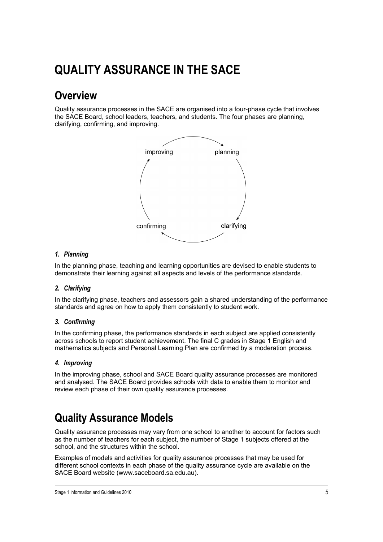# **QUALITY ASSURANCE IN THE SACE**

## **Overview**

Quality assurance processes in the SACE are organised into a four-phase cycle that involves the SACE Board, school leaders, teachers, and students. The four phases are planning, clarifying, confirming, and improving.



### *1. Planning*

In the planning phase, teaching and learning opportunities are devised to enable students to demonstrate their learning against all aspects and levels of the performance standards.

### *2. Clarifying*

In the clarifying phase, teachers and assessors gain a shared understanding of the performance standards and agree on how to apply them consistently to student work.

### *3. Confirming*

In the confirming phase, the performance standards in each subject are applied consistently across schools to report student achievement. The final C grades in Stage 1 English and mathematics subjects and Personal Learning Plan are confirmed by a moderation process.

### *4. Improving*

In the improving phase, school and SACE Board quality assurance processes are monitored and analysed. The SACE Board provides schools with data to enable them to monitor and review each phase of their own quality assurance processes.

## **Quality Assurance Models**

Quality assurance processes may vary from one school to another to account for factors such as the number of teachers for each subject, the number of Stage 1 subjects offered at the school, and the structures within the school.

Examples of models and activities for quality assurance processes that may be used for different school contexts in each phase of the quality assurance cycle are available on the SACE Board website (www.saceboard.sa.edu.au).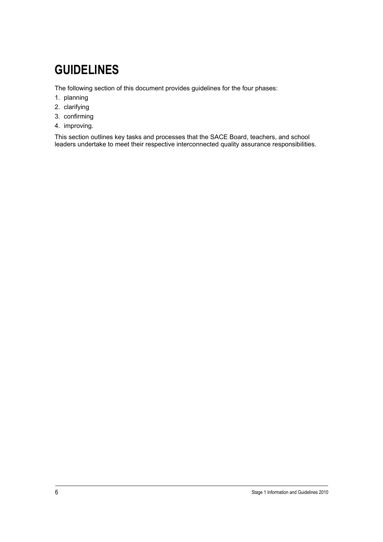# **GUIDELINES**

The following section of this document provides guidelines for the four phases:

- 1. planning
- 2. clarifying
- 3. confirming
- 4. improving.

This section outlines key tasks and processes that the SACE Board, teachers, and school leaders undertake to meet their respective interconnected quality assurance responsibilities.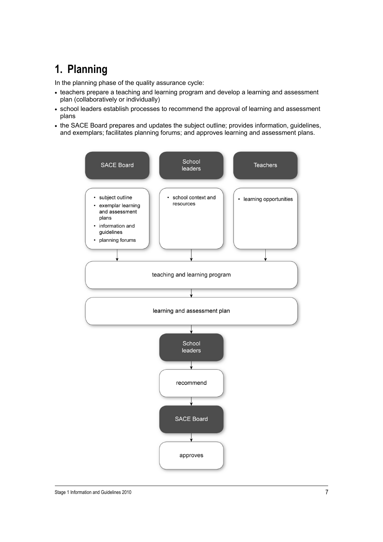## **1. Planning**

In the planning phase of the quality assurance cycle:

- teachers prepare a teaching and learning program and develop a learning and assessment plan (collaboratively or individually)
- school leaders establish processes to recommend the approval of learning and assessment plans
- the SACE Board prepares and updates the subject outline; provides information, guidelines, and exemplars; facilitates planning forums; and approves learning and assessment plans.

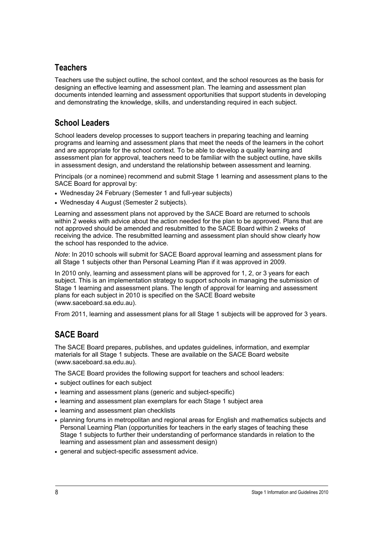### **Teachers**

Teachers use the subject outline, the school context, and the school resources as the basis for designing an effective learning and assessment plan. The learning and assessment plan documents intended learning and assessment opportunities that support students in developing and demonstrating the knowledge, skills, and understanding required in each subject.

### **School Leaders**

School leaders develop processes to support teachers in preparing teaching and learning programs and learning and assessment plans that meet the needs of the learners in the cohort and are appropriate for the school context. To be able to develop a quality learning and assessment plan for approval, teachers need to be familiar with the subject outline, have skills in assessment design, and understand the relationship between assessment and learning.

Principals (or a nominee) recommend and submit Stage 1 learning and assessment plans to the SACE Board for approval by:

- Wednesday 24 February (Semester 1 and full-year subjects)
- Wednesday 4 August (Semester 2 subjects).

Learning and assessment plans not approved by the SACE Board are returned to schools within 2 weeks with advice about the action needed for the plan to be approved. Plans that are not approved should be amended and resubmitted to the SACE Board within 2 weeks of receiving the advice. The resubmitted learning and assessment plan should show clearly how the school has responded to the advice.

*Note*: In 2010 schools will submit for SACE Board approval learning and assessment plans for all Stage 1 subjects other than Personal Learning Plan if it was approved in 2009.

In 2010 only, learning and assessment plans will be approved for 1, 2, or 3 years for each subject. This is an implementation strategy to support schools in managing the submission of Stage 1 learning and assessment plans. The length of approval for learning and assessment plans for each subject in 2010 is specified on the SACE Board website (www.saceboard.sa.edu.au).

From 2011, learning and assessment plans for all Stage 1 subjects will be approved for 3 years.

## **SACE Board**

The SACE Board prepares, publishes, and updates guidelines, information, and exemplar materials for all Stage 1 subjects. These are available on the SACE Board website (www.saceboard.sa.edu.au).

The SACE Board provides the following support for teachers and school leaders:

- subject outlines for each subject
- learning and assessment plans (generic and subject-specific)
- learning and assessment plan exemplars for each Stage 1 subject area
- learning and assessment plan checklists
- planning forums in metropolitan and regional areas for English and mathematics subjects and Personal Learning Plan (opportunities for teachers in the early stages of teaching these Stage 1 subjects to further their understanding of performance standards in relation to the learning and assessment plan and assessment design)
- general and subject-specific assessment advice.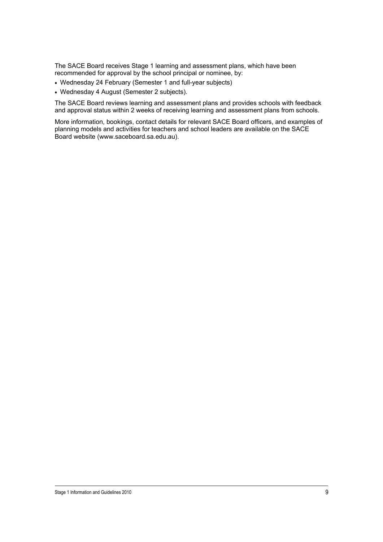The SACE Board receives Stage 1 learning and assessment plans, which have been recommended for approval by the school principal or nominee, by:

- Wednesday 24 February (Semester 1 and full-year subjects)
- Wednesday 4 August (Semester 2 subjects).

The SACE Board reviews learning and assessment plans and provides schools with feedback and approval status within 2 weeks of receiving learning and assessment plans from schools.

More information, bookings, contact details for relevant SACE Board officers, and examples of planning models and activities for teachers and school leaders are available on the SACE Board website (www.saceboard.sa.edu.au).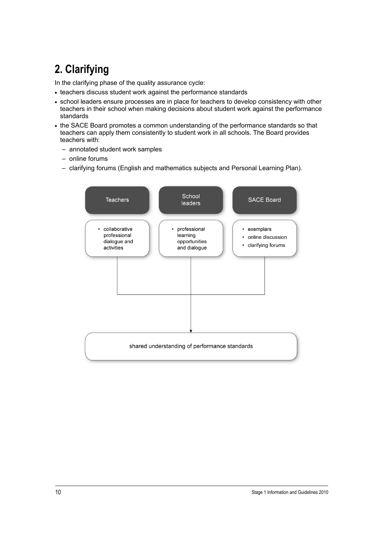# **2. Clarifying**

In the clarifying phase of the quality assurance cycle:

- teachers discuss student work against the performance standards
- school leaders ensure processes are in place for teachers to develop consistency with other teachers in their school when making decisions about student work against the performance standards
- the SACE Board promotes a common understanding of the performance standards so that teachers can apply them consistently to student work in all schools. The Board provides teachers with:
	- annotated student work samples
	- online forums
	- clarifying forums (English and mathematics subjects and Personal Learning Plan).

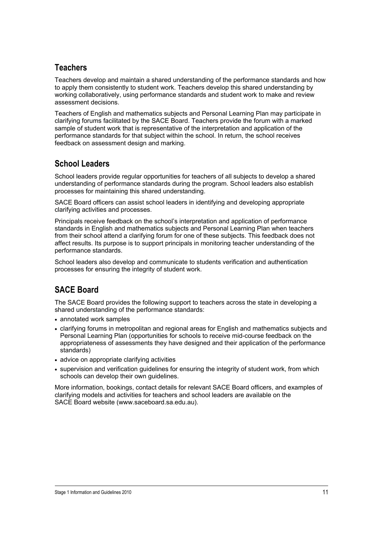### **Teachers**

Teachers develop and maintain a shared understanding of the performance standards and how to apply them consistently to student work. Teachers develop this shared understanding by working collaboratively, using performance standards and student work to make and review assessment decisions.

Teachers of English and mathematics subjects and Personal Learning Plan may participate in clarifying forums facilitated by the SACE Board. Teachers provide the forum with a marked sample of student work that is representative of the interpretation and application of the performance standards for that subject within the school. In return, the school receives feedback on assessment design and marking.

### **School Leaders**

School leaders provide regular opportunities for teachers of all subjects to develop a shared understanding of performance standards during the program. School leaders also establish processes for maintaining this shared understanding.

SACE Board officers can assist school leaders in identifying and developing appropriate clarifying activities and processes.

Principals receive feedback on the school's interpretation and application of performance standards in English and mathematics subjects and Personal Learning Plan when teachers from their school attend a clarifying forum for one of these subjects. This feedback does not affect results. Its purpose is to support principals in monitoring teacher understanding of the performance standards.

School leaders also develop and communicate to students verification and authentication processes for ensuring the integrity of student work.

## **SACE Board**

The SACE Board provides the following support to teachers across the state in developing a shared understanding of the performance standards:

- annotated work samples
- clarifying forums in metropolitan and regional areas for English and mathematics subjects and Personal Learning Plan (opportunities for schools to receive mid-course feedback on the appropriateness of assessments they have designed and their application of the performance standards)
- advice on appropriate clarifying activities
- supervision and verification guidelines for ensuring the integrity of student work, from which schools can develop their own guidelines.

More information, bookings, contact details for relevant SACE Board officers, and examples of clarifying models and activities for teachers and school leaders are available on the SACE Board website (www.saceboard.sa.edu.au).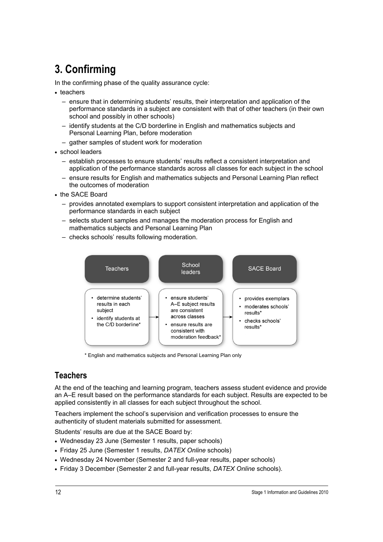## **3. Confirming**

In the confirming phase of the quality assurance cycle:

- teachers
	- ensure that in determining students' results, their interpretation and application of the performance standards in a subject are consistent with that of other teachers (in their own school and possibly in other schools)
	- identify students at the C/D borderline in English and mathematics subjects and Personal Learning Plan, before moderation
	- gather samples of student work for moderation
- school leaders
	- establish processes to ensure students' results reflect a consistent interpretation and application of the performance standards across all classes for each subject in the school
	- ensure results for English and mathematics subjects and Personal Learning Plan reflect the outcomes of moderation
- the SACE Board
	- provides annotated exemplars to support consistent interpretation and application of the performance standards in each subject
	- selects student samples and manages the moderation process for English and mathematics subjects and Personal Learning Plan
	- checks schools' results following moderation.



\* English and mathematics subjects and Personal Learning Plan only

### **Teachers**

At the end of the teaching and learning program, teachers assess student evidence and provide an A–E result based on the performance standards for each subject. Results are expected to be applied consistently in all classes for each subject throughout the school.

Teachers implement the school's supervision and verification processes to ensure the authenticity of student materials submitted for assessment.

Students' results are due at the SACE Board by:

- Wednesday 23 June (Semester 1 results, paper schools)
- Friday 25 June (Semester 1 results, *DATEX Online* schools)
- Wednesday 24 November (Semester 2 and full-year results, paper schools)
- Friday 3 December (Semester 2 and full-year results, *DATEX Online* schools).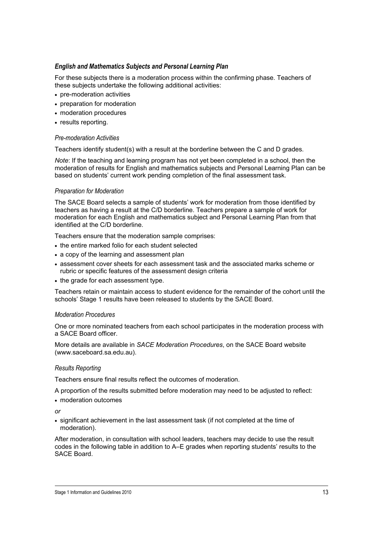### *English and Mathematics Subjects and Personal Learning Plan*

For these subjects there is a moderation process within the confirming phase. Teachers of these subjects undertake the following additional activities:

- pre-moderation activities
- preparation for moderation
- moderation procedures
- results reporting.

#### *Pre-moderation Activities*

Teachers identify student(s) with a result at the borderline between the C and D grades.

*Note*: If the teaching and learning program has not yet been completed in a school, then the moderation of results for English and mathematics subjects and Personal Learning Plan can be based on students' current work pending completion of the final assessment task.

#### *Preparation for Moderation*

The SACE Board selects a sample of students' work for moderation from those identified by teachers as having a result at the C/D borderline. Teachers prepare a sample of work for moderation for each English and mathematics subject and Personal Learning Plan from that identified at the C/D borderline.

Teachers ensure that the moderation sample comprises:

- the entire marked folio for each student selected
- a copy of the learning and assessment plan
- assessment cover sheets for each assessment task and the associated marks scheme or rubric or specific features of the assessment design criteria
- the grade for each assessment type.

Teachers retain or maintain access to student evidence for the remainder of the cohort until the schools' Stage 1 results have been released to students by the SACE Board.

#### *Moderation Procedures*

One or more nominated teachers from each school participates in the moderation process with a SACE Board officer.

More details are available in *SACE Moderation Procedures*, on the SACE Board website (www.saceboard.sa.edu.au).

#### *Results Reporting*

Teachers ensure final results reflect the outcomes of moderation.

A proportion of the results submitted before moderation may need to be adjusted to reflect:

• moderation outcomes

*or* 

• significant achievement in the last assessment task (if not completed at the time of moderation).

After moderation, in consultation with school leaders, teachers may decide to use the result codes in the following table in addition to A–E grades when reporting students' results to the SACE Board.

Stage 1 Information and Guidelines 2010 13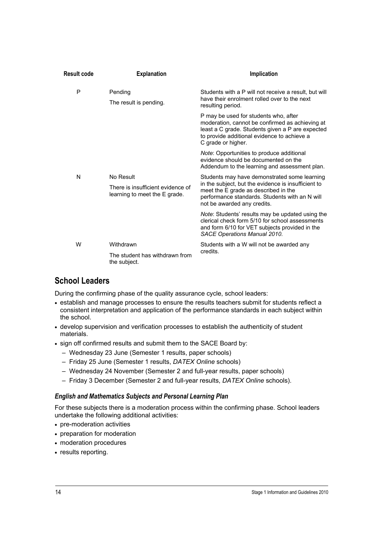| Result code | <b>Explanation</b>                                                              | Implication                                                                                                                                                                                                                  |
|-------------|---------------------------------------------------------------------------------|------------------------------------------------------------------------------------------------------------------------------------------------------------------------------------------------------------------------------|
| P           | Pending<br>The result is pending.                                               | Students with a P will not receive a result, but will<br>have their enrolment rolled over to the next<br>resulting period.                                                                                                   |
|             |                                                                                 | P may be used for students who, after<br>moderation, cannot be confirmed as achieving at<br>least a C grade. Students given a P are expected<br>to provide additional evidence to achieve a<br>C grade or higher.            |
|             |                                                                                 | Note: Opportunities to produce additional<br>evidence should be documented on the<br>Addendum to the learning and assessment plan.                                                                                           |
| N           | No Result<br>There is insufficient evidence of<br>learning to meet the E grade. | Students may have demonstrated some learning<br>in the subject, but the evidence is insufficient to<br>meet the E grade as described in the<br>performance standards. Students with an N will<br>not be awarded any credits. |
|             |                                                                                 | <i>Note:</i> Students' results may be updated using the<br>clerical check form 5/10 for school assessments<br>and form 6/10 for VET subjects provided in the<br><b>SACE Operations Manual 2010.</b>                          |
| W           | Withdrawn<br>The student has withdrawn from<br>the subject.                     | Students with a W will not be awarded any<br>credits.                                                                                                                                                                        |

### **School Leaders**

During the confirming phase of the quality assurance cycle, school leaders:

- establish and manage processes to ensure the results teachers submit for students reflect a consistent interpretation and application of the performance standards in each subject within the school.
- develop supervision and verification processes to establish the authenticity of student materials.
- sign off confirmed results and submit them to the SACE Board by:
	- Wednesday 23 June (Semester 1 results, paper schools)
	- Friday 25 June (Semester 1 results, *DATEX Online* schools)
	- Wednesday 24 November (Semester 2 and full-year results, paper schools)
	- Friday 3 December (Semester 2 and full-year results, *DATEX Online* schools).

### *English and Mathematics Subjects and Personal Learning Plan*

For these subjects there is a moderation process within the confirming phase. School leaders undertake the following additional activities:

- pre-moderation activities
- preparation for moderation
- moderation procedures
- results reporting.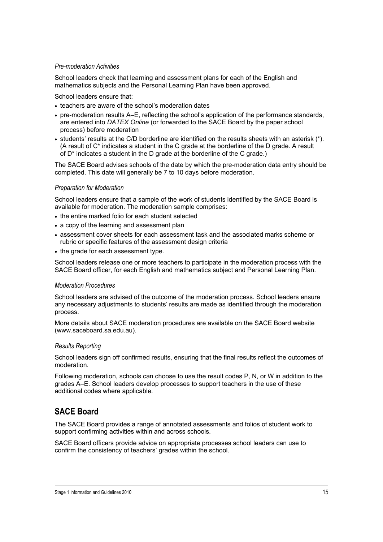#### *Pre-moderation Activities*

School leaders check that learning and assessment plans for each of the English and mathematics subjects and the Personal Learning Plan have been approved.

School leaders ensure that:

- teachers are aware of the school's moderation dates
- pre-moderation results A–E, reflecting the school's application of the performance standards, are entered into *DATEX Online* (or forwarded to the SACE Board by the paper school process) before moderation
- students' results at the C/D borderline are identified on the results sheets with an asterisk (\*). (A result of C\* indicates a student in the C grade at the borderline of the D grade. A result of D\* indicates a student in the D grade at the borderline of the C grade.)

The SACE Board advises schools of the date by which the pre-moderation data entry should be completed. This date will generally be 7 to 10 days before moderation.

#### *Preparation for Moderation*

School leaders ensure that a sample of the work of students identified by the SACE Board is available for moderation. The moderation sample comprises:

- the entire marked folio for each student selected
- a copy of the learning and assessment plan
- assessment cover sheets for each assessment task and the associated marks scheme or rubric or specific features of the assessment design criteria
- the grade for each assessment type.

School leaders release one or more teachers to participate in the moderation process with the SACE Board officer, for each English and mathematics subject and Personal Learning Plan.

#### *Moderation Procedures*

School leaders are advised of the outcome of the moderation process. School leaders ensure any necessary adjustments to students' results are made as identified through the moderation process.

More details about SACE moderation procedures are available on the SACE Board website (www.saceboard.sa.edu.au).

#### *Results Reporting*

School leaders sign off confirmed results, ensuring that the final results reflect the outcomes of moderation.

Following moderation, schools can choose to use the result codes P, N, or W in addition to the grades A–E. School leaders develop processes to support teachers in the use of these additional codes where applicable.

### **SACE Board**

The SACE Board provides a range of annotated assessments and folios of student work to support confirming activities within and across schools.

SACE Board officers provide advice on appropriate processes school leaders can use to confirm the consistency of teachers' grades within the school.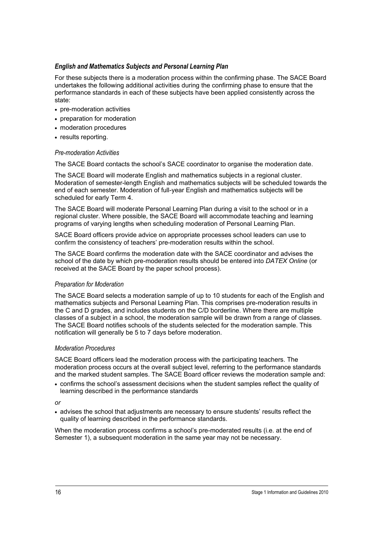### *English and Mathematics Subjects and Personal Learning Plan*

For these subjects there is a moderation process within the confirming phase. The SACE Board undertakes the following additional activities during the confirming phase to ensure that the performance standards in each of these subjects have been applied consistently across the state:

- pre-moderation activities
- preparation for moderation
- moderation procedures
- results reporting.

### *Pre-moderation Activities*

The SACE Board contacts the school's SACE coordinator to organise the moderation date.

The SACE Board will moderate English and mathematics subjects in a regional cluster. Moderation of semester-length English and mathematics subjects will be scheduled towards the end of each semester. Moderation of full-year English and mathematics subjects will be scheduled for early Term 4.

The SACE Board will moderate Personal Learning Plan during a visit to the school or in a regional cluster. Where possible, the SACE Board will accommodate teaching and learning programs of varying lengths when scheduling moderation of Personal Learning Plan.

SACE Board officers provide advice on appropriate processes school leaders can use to confirm the consistency of teachers' pre-moderation results within the school.

The SACE Board confirms the moderation date with the SACE coordinator and advises the school of the date by which pre-moderation results should be entered into *DATEX Online* (or received at the SACE Board by the paper school process).

### *Preparation for Moderation*

The SACE Board selects a moderation sample of up to 10 students for each of the English and mathematics subjects and Personal Learning Plan. This comprises pre-moderation results in the C and D grades, and includes students on the C/D borderline. Where there are multiple classes of a subject in a school, the moderation sample will be drawn from a range of classes. The SACE Board notifies schools of the students selected for the moderation sample. This notification will generally be 5 to 7 days before moderation.

### *Moderation Procedures*

SACE Board officers lead the moderation process with the participating teachers. The moderation process occurs at the overall subject level, referring to the performance standards and the marked student samples. The SACE Board officer reviews the moderation sample and:

• confirms the school's assessment decisions when the student samples reflect the quality of learning described in the performance standards

*or* 

• advises the school that adjustments are necessary to ensure students' results reflect the quality of learning described in the performance standards.

When the moderation process confirms a school's pre-moderated results (i.e. at the end of Semester 1), a subsequent moderation in the same year may not be necessary.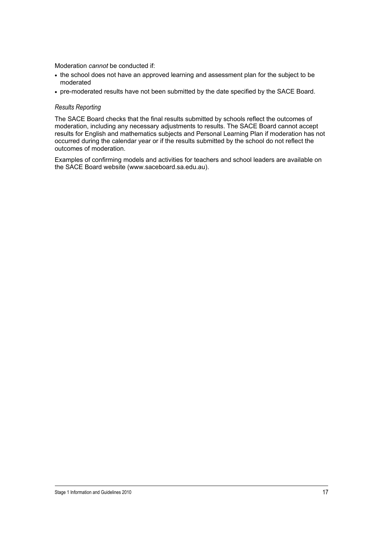Moderation *cannot* be conducted if:

- the school does not have an approved learning and assessment plan for the subject to be moderated
- pre-moderated results have not been submitted by the date specified by the SACE Board.

#### *Results Reporting*

The SACE Board checks that the final results submitted by schools reflect the outcomes of moderation, including any necessary adjustments to results. The SACE Board cannot accept results for English and mathematics subjects and Personal Learning Plan if moderation has not occurred during the calendar year or if the results submitted by the school do not reflect the outcomes of moderation.

Examples of confirming models and activities for teachers and school leaders are available on the SACE Board website (www.saceboard.sa.edu.au).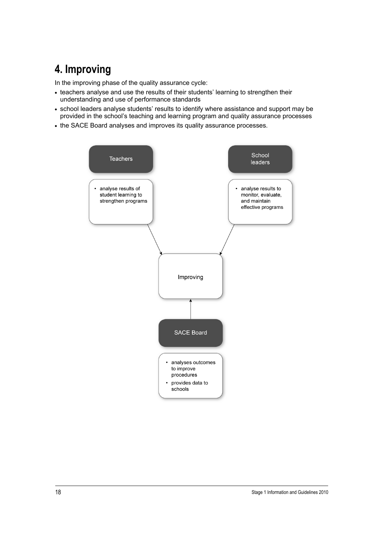## **4. Improving**

In the improving phase of the quality assurance cycle:

- teachers analyse and use the results of their students' learning to strengthen their understanding and use of performance standards
- school leaders analyse students' results to identify where assistance and support may be provided in the school's teaching and learning program and quality assurance processes
- the SACE Board analyses and improves its quality assurance processes.